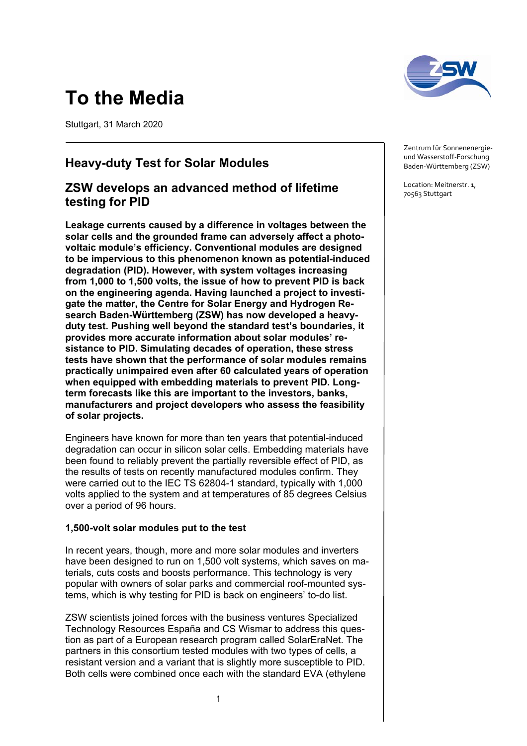# **To the Media**

Stuttgart, 31 March 2020

## **Heavy-duty Test for Solar Modules**

### **ZSW develops an advanced method of lifetime testing for PID**

**Leakage currents caused by a difference in voltages between the solar cells and the grounded frame can adversely affect a photovoltaic module's efficiency. Conventional modules are designed to be impervious to this phenomenon known as potential-induced degradation (PID). However, with system voltages increasing from 1,000 to 1,500 volts, the issue of how to prevent PID is back on the engineering agenda. Having launched a project to investigate the matter, the Centre for Solar Energy and Hydrogen Research Baden-Württemberg (ZSW) has now developed a heavyduty test. Pushing well beyond the standard test's boundaries, it provides more accurate information about solar modules' resistance to PID. Simulating decades of operation, these stress tests have shown that the performance of solar modules remains practically unimpaired even after 60 calculated years of operation when equipped with embedding materials to prevent PID. Longterm forecasts like this are important to the investors, banks, manufacturers and project developers who assess the feasibility of solar projects.** 

Engineers have known for more than ten years that potential-induced degradation can occur in silicon solar cells. Embedding materials have been found to reliably prevent the partially reversible effect of PID, as the results of tests on recently manufactured modules confirm. They were carried out to the IEC TS 62804-1 standard, typically with 1,000 volts applied to the system and at temperatures of 85 degrees Celsius over a period of 96 hours.

#### **1,500-volt solar modules put to the test**

In recent years, though, more and more solar modules and inverters have been designed to run on 1,500 volt systems, which saves on materials, cuts costs and boosts performance. This technology is very popular with owners of solar parks and commercial roof-mounted systems, which is why testing for PID is back on engineers' to-do list.

ZSW scientists joined forces with the business ventures Specialized Technology Resources España and CS Wismar to address this question as part of a European research program called SolarEraNet. The partners in this consortium tested modules with two types of cells, a resistant version and a variant that is slightly more susceptible to PID. Both cells were combined once each with the standard EVA (ethylene



Zentrum für Sonnenenergie‐ und Wasserstoff‐Forschung Baden‐Württemberg (ZSW)

Location: Meitnerstr. 1, 70563 Stuttgart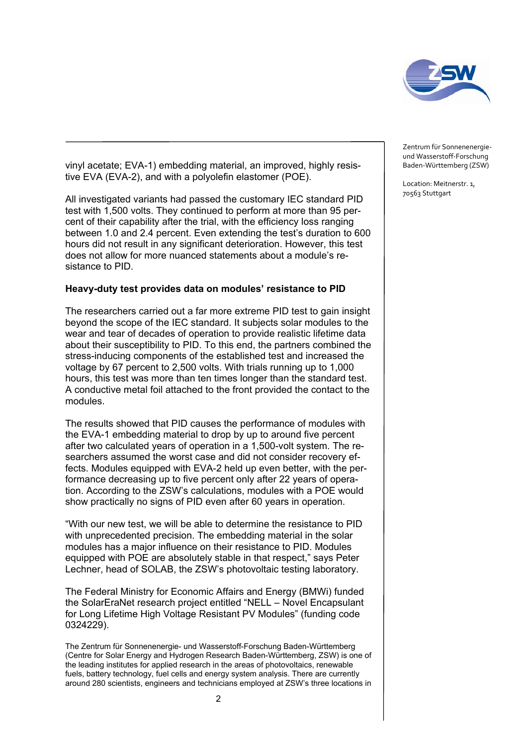

vinyl acetate; EVA-1) embedding material, an improved, highly resistive EVA (EVA-2), and with a polyolefin elastomer (POE).

All investigated variants had passed the customary IEC standard PID test with 1,500 volts. They continued to perform at more than 95 percent of their capability after the trial, with the efficiency loss ranging between 1.0 and 2.4 percent. Even extending the test's duration to 600 hours did not result in any significant deterioration. However, this test does not allow for more nuanced statements about a module's resistance to PID.

#### **Heavy-duty test provides data on modules' resistance to PID**

The researchers carried out a far more extreme PID test to gain insight beyond the scope of the IEC standard. It subjects solar modules to the wear and tear of decades of operation to provide realistic lifetime data about their susceptibility to PID. To this end, the partners combined the stress-inducing components of the established test and increased the voltage by 67 percent to 2,500 volts. With trials running up to 1,000 hours, this test was more than ten times longer than the standard test. A conductive metal foil attached to the front provided the contact to the modules.

The results showed that PID causes the performance of modules with the EVA-1 embedding material to drop by up to around five percent after two calculated years of operation in a 1,500-volt system. The researchers assumed the worst case and did not consider recovery effects. Modules equipped with EVA-2 held up even better, with the performance decreasing up to five percent only after 22 years of operation. According to the ZSW's calculations, modules with a POE would show practically no signs of PID even after 60 years in operation.

"With our new test, we will be able to determine the resistance to PID with unprecedented precision. The embedding material in the solar modules has a major influence on their resistance to PID. Modules equipped with POE are absolutely stable in that respect," says Peter Lechner, head of SOLAB, the ZSW's photovoltaic testing laboratory.

The Federal Ministry for Economic Affairs and Energy (BMWi) funded the SolarEraNet research project entitled "NELL – Novel Encapsulant for Long Lifetime High Voltage Resistant PV Modules" (funding code 0324229).

The Zentrum für Sonnenenergie- und Wasserstoff-Forschung Baden-Württemberg (Centre for Solar Energy and Hydrogen Research Baden-Württemberg, ZSW) is one of the leading institutes for applied research in the areas of photovoltaics, renewable fuels, battery technology, fuel cells and energy system analysis. There are currently around 280 scientists, engineers and technicians employed at ZSW's three locations in Zentrum für Sonnenenergie‐ und Wasserstoff‐Forschung Baden‐Württemberg (ZSW)

Location: Meitnerstr. 1, 70563 Stuttgart